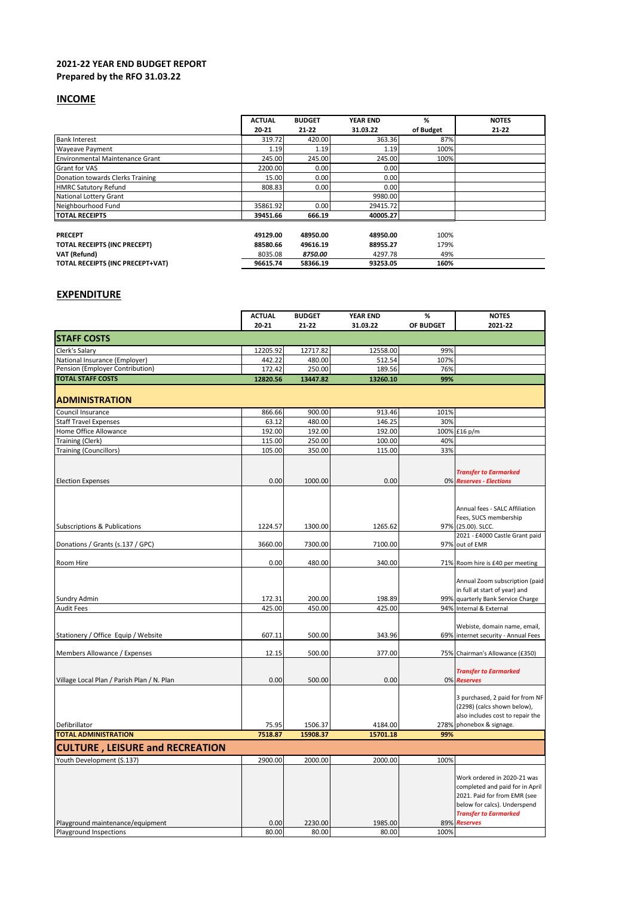## **2021-22 YEAR END BUDGET REPORT Prepared by the RFO 31.03.22**

## **INCOME**

|                                        | <b>ACTUAL</b> | <b>BUDGET</b> | <b>YEAR END</b> | %         | <b>NOTES</b> |
|----------------------------------------|---------------|---------------|-----------------|-----------|--------------|
|                                        | 20-21         | $21 - 22$     | 31.03.22        | of Budget | $21 - 22$    |
| <b>Bank Interest</b>                   | 319.72        | 420.00        | 363.36          | 87%       |              |
| <b>Wayeave Payment</b>                 | 1.19          | 1.19          | 1.19            | 100%      |              |
| <b>Environmental Maintenance Grant</b> | 245.00        | 245.00        | 245.00          | 100%      |              |
| <b>Grant for VAS</b>                   | 2200.00       | 0.00          | 0.00            |           |              |
| Donation towards Clerks Training       | 15.00         | 0.00          | 0.00            |           |              |
| <b>HMRC Satutory Refund</b>            | 808.83        | 0.00          | 0.00            |           |              |
| <b>National Lottery Grant</b>          |               |               | 9980.00         |           |              |
| Neighbourhood Fund                     | 35861.92      | 0.00          | 29415.72        |           |              |
| <b>TOTAL RECEIPTS</b>                  | 39451.66      | 666.19        | 40005.27        |           |              |
|                                        |               |               |                 |           |              |
| <b>PRECEPT</b>                         | 49129.00      | 48950.00      | 48950.00        | 100%      |              |
| TOTAL RECEIPTS (INC PRECEPT)           | 88580.66      | 49616.19      | 88955.27        | 179%      |              |
| VAT (Refund)                           | 8035.08       | 8750.00       | 4297.78         | 49%       |              |
| TOTAL RECEIPTS (INC PRECEPT+VAT)       | 96615.74      | 58366.19      | 93253.05        | 160%      |              |

## **EXPENDITURE**

|                                                                   | <b>ACTUAL</b>      | <b>BUDGET</b>    | YEAR END           | $\%$             | <b>NOTES</b>                                                                                                                   |
|-------------------------------------------------------------------|--------------------|------------------|--------------------|------------------|--------------------------------------------------------------------------------------------------------------------------------|
|                                                                   | 20-21              | 21-22            | 31.03.22           | <b>OF BUDGET</b> | 2021-22                                                                                                                        |
| <b>STAFF COSTS</b>                                                |                    |                  |                    |                  |                                                                                                                                |
| Clerk's Salary                                                    | 12205.92           | 12717.82         | 12558.00           | 99%              |                                                                                                                                |
| National Insurance (Employer)<br>Pension (Employer Contribution)  | 442.22             | 480.00           | 512.54             | 107%<br>76%      |                                                                                                                                |
| <b>TOTAL STAFF COSTS</b>                                          | 172.42<br>12820.56 | 250.00           | 189.56<br>13260.10 | 99%              |                                                                                                                                |
|                                                                   |                    | 13447.82         |                    |                  |                                                                                                                                |
| <b>ADMINISTRATION</b>                                             |                    |                  |                    |                  |                                                                                                                                |
| Council Insurance                                                 | 866.66             | 900.00           | 913.46             | 101%             |                                                                                                                                |
| Staff Travel Expenses                                             | 63.12              | 480.00           | 146.25             | 30%              |                                                                                                                                |
| Home Office Allowance                                             | 192.00             | 192.00           | 192.00             |                  | 100% £16 p/m                                                                                                                   |
| Training (Clerk)                                                  | 115.00             | 250.00           | 100.00             | 40%              |                                                                                                                                |
| <b>Training (Councillors)</b>                                     | 105.00             | 350.00           | 115.00             | 33%              |                                                                                                                                |
| <b>Election Expenses</b>                                          | 0.00               | 1000.00          | 0.00               |                  | <b>Transfer to Earmarked</b><br>0% Reserves - Elections                                                                        |
| <b>Subscriptions &amp; Publications</b>                           | 1224.57            | 1300.00          | 1265.62            |                  | Annual fees - SALC Affiliation<br>Fees, SUCS membership<br>97% (25.00). SLCC.                                                  |
|                                                                   |                    |                  |                    |                  | 2021 - £4000 Castle Grant paid                                                                                                 |
| Donations / Grants (s.137 / GPC)                                  | 3660.00            | 7300.00          | 7100.00            |                  | 97% out of EMR                                                                                                                 |
| Room Hire                                                         | 0.00               | 480.00           | 340.00             |                  | 71% Room hire is £40 per meeting                                                                                               |
| Sundry Admin                                                      | 172.31             | 200.00           | 198.89             |                  | Annual Zoom subscription (paid<br>in full at start of year) and<br>99% quarterly Bank Service Charge                           |
| <b>Audit Fees</b>                                                 | 425.00             | 450.00           | 425.00             |                  | 94% Internal & External                                                                                                        |
|                                                                   |                    |                  |                    |                  |                                                                                                                                |
| Stationery / Office Equip / Website                               | 607.11             | 500.00           | 343.96             |                  | Webiste, domain name, email,<br>69% internet security - Annual Fees                                                            |
| Members Allowance / Expenses                                      | 12.15              | 500.00           | 377.00             |                  | 75% Chairman's Allowance (£350)                                                                                                |
|                                                                   |                    |                  |                    |                  |                                                                                                                                |
| Village Local Plan / Parish Plan / N. Plan                        | 0.00               | 500.00           | 0.00               |                  | <b>Transfer to Earmarked</b><br>0% Reserves                                                                                    |
|                                                                   |                    |                  |                    |                  | 3 purchased, 2 paid for from NF<br>(2298) (calcs shown below),<br>also includes cost to repair the                             |
| Defibrillator                                                     | 75.95              | 1506.37          | 4184.00            |                  | 278% phonebox & signage.                                                                                                       |
| <b>TOTAL ADMINISTRATION</b>                                       | 7518.87            | 15908.37         | 15701.18           | 99%              |                                                                                                                                |
| <b>CULTURE, LEISURE and RECREATION</b>                            |                    |                  |                    |                  |                                                                                                                                |
|                                                                   |                    |                  |                    |                  |                                                                                                                                |
| Youth Development (S.137)                                         | 2900.00            | 2000.00          | 2000.00            | 100%             |                                                                                                                                |
|                                                                   |                    |                  |                    |                  | Work ordered in 2020-21 was<br>completed and paid for in April<br>2021. Paid for from EMR (see<br>below for calcs). Underspend |
|                                                                   |                    |                  |                    |                  | <b>Transfer to Earmarked</b>                                                                                                   |
| Playground maintenance/equipment<br><b>Playground Inspections</b> | 0.00<br>80.00      | 2230.00<br>80.00 | 1985.00<br>80.00   | 100%             | 89% Reserves                                                                                                                   |
|                                                                   |                    |                  |                    |                  |                                                                                                                                |